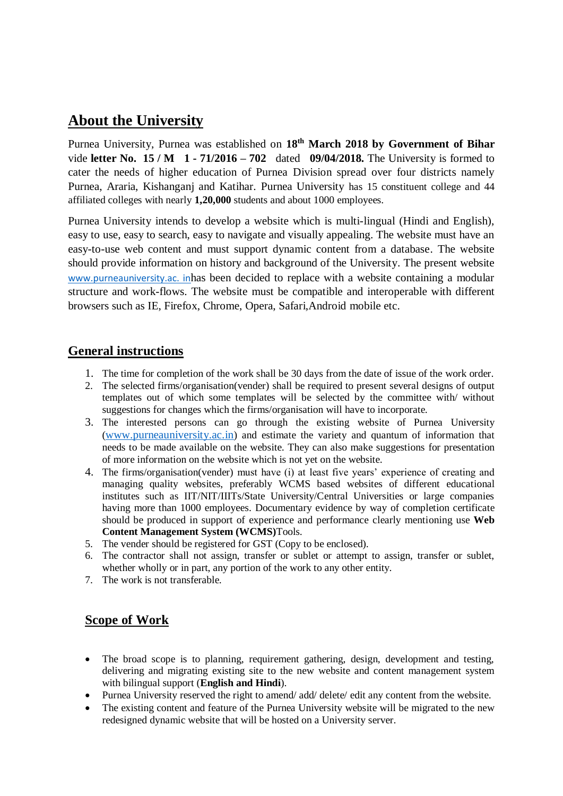# **About the University**

Purnea University, Purnea was established on **18th March 2018 by Government of Bihar**  vide **letter No. 15 / M 1 - 71/2016 – 702** dated **09/04/2018.** The University is formed to cater the needs of higher education of Purnea Division spread over four districts namely Purnea, Araria, Kishanganj and Katihar. Purnea University has 15 constituent college and 44 affiliated colleges with nearly **1,20,000** students and about 1000 employees.

Purnea University intends to develop a website which is multi-lingual (Hindi and English), easy to use, easy to search, easy to navigate and visually appealing. The website must have an easy-to-use web content and must support dynamic content from a database. The website should provide information on history and background of the University. The present website www.purneauniversity.ac. inhas been decided to replace with a website containing a modular structure and work-flows. The website must be compatible and interoperable with different browsers such as IE, Firefox, Chrome, Opera, Safari,Android mobile etc.

# **General instructions**

- 1. The time for completion of the work shall be 30 days from the date of issue of the work order.
- 2. The selected firms/organisation(vender) shall be required to present several designs of output templates out of which some templates will be selected by the committee with/ without suggestions for changes which the firms/organisation will have to incorporate.
- 3. The interested persons can go through the existing website of Purnea University ([www.purneauniversity.ac.in](http://www.purneauniversity.ac.in/)) and estimate the variety and quantum of information that needs to be made available on the website. They can also make suggestions for presentation of more information on the website which is not yet on the website.
- 4. The firms/organisation(vender) must have (i) at least five years' experience of creating and managing quality websites, preferably WCMS based websites of different educational institutes such as IIT/NIT/IIITs/State University/Central Universities or large companies having more than 1000 employees. Documentary evidence by way of completion certificate should be produced in support of experience and performance clearly mentioning use **Web Content Management System (WCMS)**Tools.
- 5. The vender should be registered for GST (Copy to be enclosed).
- 6. The contractor shall not assign, transfer or sublet or attempt to assign, transfer or sublet, whether wholly or in part, any portion of the work to any other entity.
- 7. The work is not transferable.

# **Scope of Work**

- The broad scope is to planning, requirement gathering, design, development and testing, delivering and migrating existing site to the new website and content management system with bilingual support (**English and Hindi**).
- Purnea University reserved the right to amend/ add/ delete/ edit any content from the website.
- The existing content and feature of the Purnea University website will be migrated to the new redesigned dynamic website that will be hosted on a University server.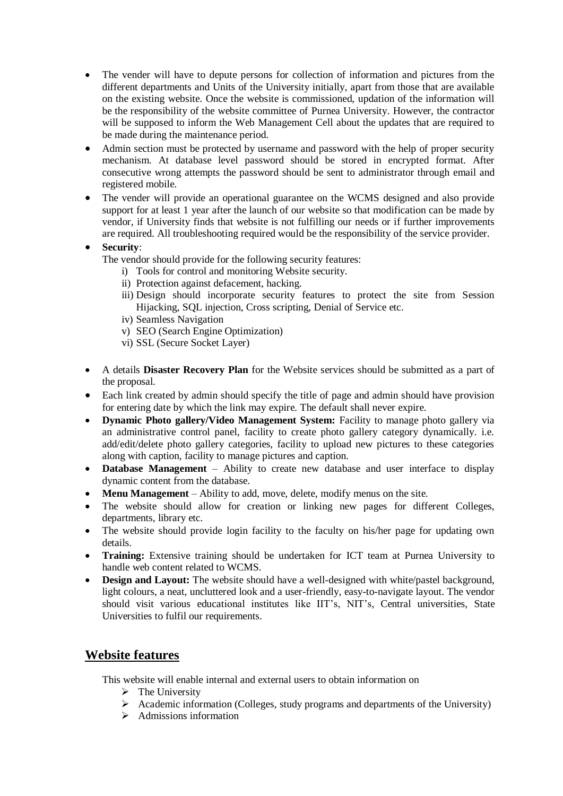- The vender will have to depute persons for collection of information and pictures from the different departments and Units of the University initially, apart from those that are available on the existing website. Once the website is commissioned, updation of the information will be the responsibility of the website committee of Purnea University. However, the contractor will be supposed to inform the Web Management Cell about the updates that are required to be made during the maintenance period.
- Admin section must be protected by username and password with the help of proper security mechanism. At database level password should be stored in encrypted format. After consecutive wrong attempts the password should be sent to administrator through email and registered mobile.
- The vender will provide an operational guarantee on the WCMS designed and also provide support for at least 1 year after the launch of our website so that modification can be made by vendor, if University finds that website is not fulfilling our needs or if further improvements are required. All troubleshooting required would be the responsibility of the service provider.

### **Security**:

- The vendor should provide for the following security features:
	- i) Tools for control and monitoring Website security.
	- ii) Protection against defacement, hacking.
	- iii) Design should incorporate security features to protect the site from Session Hijacking, SOL injection, Cross scripting, Denial of Service etc.
	- iv) Seamless Navigation
	- v) SEO (Search Engine Optimization)
	- vi) SSL (Secure Socket Layer)
- A details **Disaster Recovery Plan** for the Website services should be submitted as a part of the proposal.
- Each link created by admin should specify the title of page and admin should have provision for entering date by which the link may expire. The default shall never expire.
- **•** Dynamic Photo gallery/Video Management System: Facility to manage photo gallery via an administrative control panel, facility to create photo gallery category dynamically. i.e. add/edit/delete photo gallery categories, facility to upload new pictures to these categories along with caption, facility to manage pictures and caption.
- **Database Management**  Ability to create new database and user interface to display dynamic content from the database.
- Menu Management Ability to add, move, delete, modify menus on the site.
- The website should allow for creation or linking new pages for different Colleges, departments, library etc.
- The website should provide login facility to the faculty on his/her page for updating own details.
- **Training:** Extensive training should be undertaken for ICT team at Purnea University to handle web content related to WCMS.
- **Design and Layout:** The website should have a well-designed with white/pastel background, light colours, a neat, uncluttered look and a user-friendly, easy-to-navigate layout. The vendor should visit various educational institutes like IIT's, NIT's, Central universities, State Universities to fulfil our requirements.

# **Website features**

This website will enable internal and external users to obtain information on

- $\triangleright$  The University
- $\triangleright$  Academic information (Colleges, study programs and departments of the University)
- $\triangleright$  Admissions information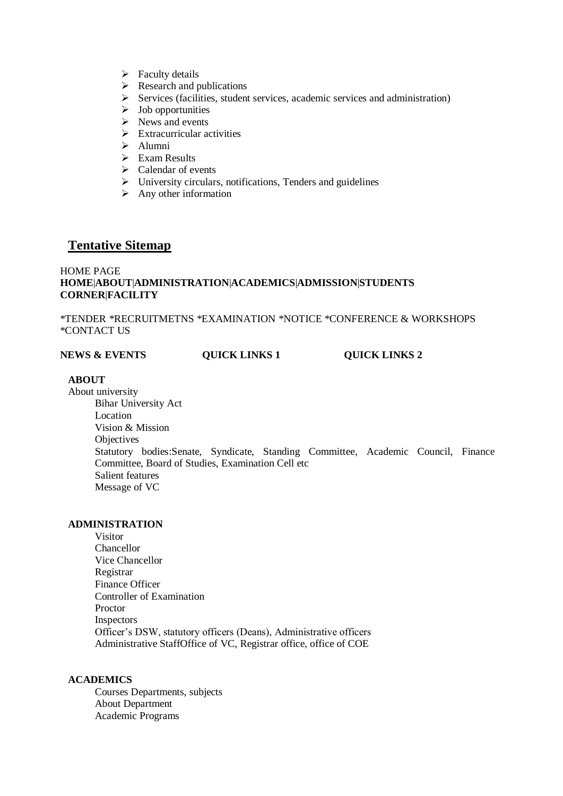- $\triangleright$  Faculty details
- $\triangleright$  Research and publications
- $\triangleright$  Services (facilities, student services, academic services and administration)
- $\triangleright$  Job opportunities
- $\triangleright$  News and events
- $\triangleright$  Extracurricular activities
- Alumni
- $\triangleright$  Exam Results
- $\triangleright$  Calendar of events
- $\triangleright$  University circulars, notifications, Tenders and guidelines
- $\triangleright$  Any other information

## **Tentative Sitemap**

#### HOME PAGE **HOME**|**ABOUT**|**ADMINISTRATION**|**ACADEMICS**|**ADMISSION**|**STUDENTS CORNER**|**FACILITY**

\*TENDER \*RECRUITMETNS \*EXAMINATION \*NOTICE \*CONFERENCE & WORKSHOPS \*CONTACT US

| <b>NEWS &amp; EVENTS</b> | <b>QUICK LINKS 1</b> | <b>QUICK LINKS 2</b> |
|--------------------------|----------------------|----------------------|
|                          |                      |                      |

#### **ABOUT**

About university Bihar University Act Location Vision & Mission **Objectives** Statutory bodies:Senate, Syndicate, Standing Committee, Academic Council, Finance Committee, Board of Studies, Examination Cell etc Salient features Message of VC

#### **ADMINISTRATION**

Visitor Chancellor Vice Chancellor Registrar Finance Officer Controller of Examination Proctor Inspectors Officer's DSW, statutory officers (Deans), Administrative officers Administrative StaffOffice of VC, Registrar office, office of COE

#### **ACADEMICS**

Courses Departments, subjects About Department Academic Programs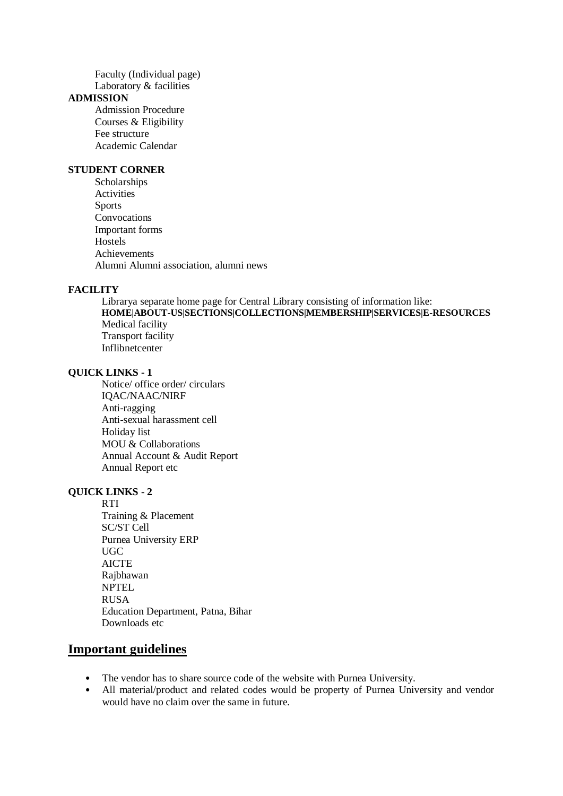Faculty (Individual page) Laboratory & facilities

#### **ADMISSION**

Admission Procedure Courses & Eligibility Fee structure Academic Calendar

#### **STUDENT CORNER**

Scholarships **Activities** Sports Convocations Important forms Hostels Achievements Alumni Alumni association, alumni news

#### **FACILITY**

Librarya separate home page for Central Library consisting of information like: **HOME|ABOUT-US|SECTIONS|COLLECTIONS|MEMBERSHIP|SERVICES|E-RESOURCES**  Medical facility Transport facility Inflibnetcenter

#### **QUICK LINKS - 1**

Notice/ office order/ circulars IQAC/NAAC/NIRF Anti-ragging Anti-sexual harassment cell Holiday list MOU & Collaborations Annual Account & Audit Report Annual Report etc

#### **QUICK LINKS - 2**

**RTI** Training & Placement SC/ST Cell Purnea University ERP UGC **AICTE** Rajbhawan **NPTEL** RUSA Education Department, Patna, Bihar Downloads etc

## **Important guidelines**

- The vendor has to share source code of the website with Purnea University.
- All material/product and related codes would be property of Purnea University and vendor would have no claim over the same in future.